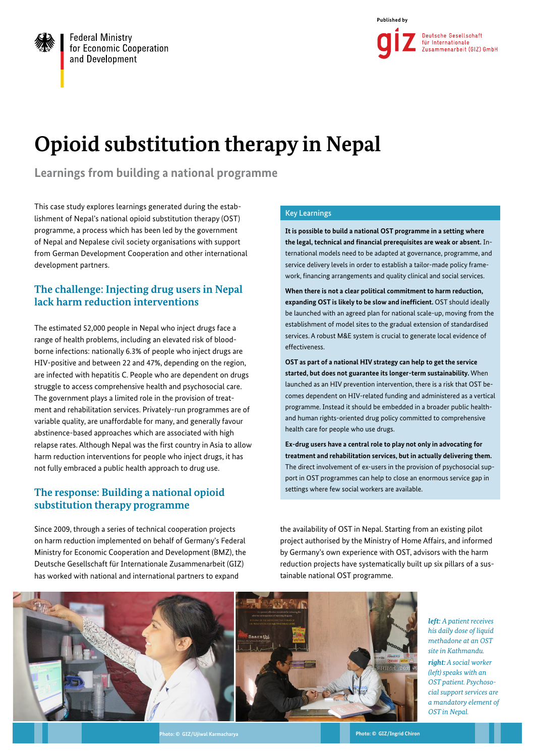

# **Opioid substitution therapy in Nepal**

**Learnings from building a national programme**

This case study explores learnings generated during the establishment of Nepal's national opioid substitution therapy (OST) programme, a process which has been led by the government of Nepal and Nepalese civil society organisations with support from German Development Cooperation and other international development partners.

## **The challenge: Injecting drug users in Nepal lack harm reduction interventions**

The estimated 52,000 people in Nepal who inject drugs face a range of health problems, including an elevated risk of bloodborne infections: nationally 6.3% of people who inject drugs are HIV-positive and between 22 and 47%, depending on the region, are infected with hepatitis C. People who are dependent on drugs struggle to access comprehensive health and psychosocial care. The government plays a limited role in the provision of treatment and rehabilitation services. Privately-run programmes are of variable quality, are unaffordable for many, and generally favour abstinence-based approaches which are associated with high relapse rates. Although Nepal was the first country in Asia to allow harm reduction interventions for people who inject drugs, it has not fully embraced a public health approach to drug use.

# **The response: Building a national opioid substitution therapy programme**

Since 2009, through a series of technical cooperation projects on harm reduction implemented on behalf of Germany's Federal Ministry for Economic Cooperation and Development (BMZ), the Deutsche Gesellschaft für Internationale Zusammenarbeit (GIZ) has worked with national and international partners to expand

#### Key Learnings

**It is possible to build a national OST programme in a setting where the legal, technical and financial prerequisites are weak or absent.** International models need to be adapted at governance, programme, and service delivery levels in order to establish a tailor-made policy framework, financing arrangements and quality clinical and social services.

**When there is not a clear political commitment to harm reduction, expanding OST is likely to be slow and inefficient.** OST should ideally be launched with an agreed plan for national scale-up, moving from the establishment of model sites to the gradual extension of standardised services. A robust M&E system is crucial to generate local evidence of effectiveness.

**OST as part of a national HIV strategy can help to get the service started, but does not guarantee its longer-term sustainability.** When launched as an HIV prevention intervention, there is a risk that OST becomes dependent on HIV-related funding and administered as a vertical programme. Instead it should be embedded in a broader public healthand human rights-oriented drug policy committed to comprehensive health care for people who use drugs.

**Ex-drug users have a central role to play not only in advocating for treatment and rehabilitation services, but in actually delivering them.**  The direct involvement of ex-users in the provision of psychosocial support in OST programmes can help to close an enormous service gap in settings where few social workers are available.

the availability of OST in Nepal. Starting from an existing pilot project authorised by the Ministry of Home Affairs, and informed by Germany's own experience with OST, advisors with the harm reduction projects have systematically built up six pillars of a sustainable national OST programme.



*left: A patient receives his daily dose of liquid methadone at an OST site in Kathmandu.*

*right: A social worker (left) speaks with an OST patient. Psychosocial support services are a mandatory element of OST in Nepal.*

**Photo: © GIZ/Ujiwal Karmacharya Photo: © GIZ/Ingrid Chiron**